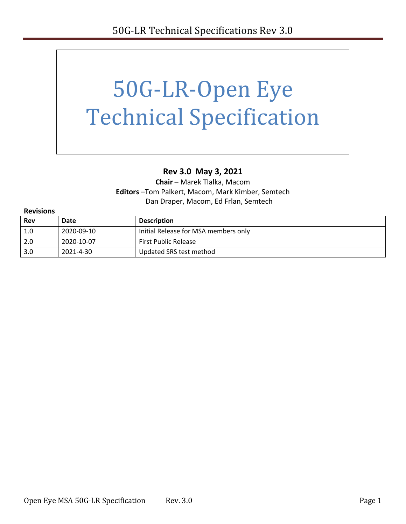

### **Rev 3.0 May 3, 2021**

**Chair** – Marek Tlalka, Macom **Editors** –Tom Palkert, Macom, Mark Kimber, Semtech Dan Draper, Macom, Ed Frlan, Semtech

| <b>Revisions</b> |            |                                      |
|------------------|------------|--------------------------------------|
| <b>Rev</b>       | Date       | <b>Description</b>                   |
| 1.0              | 2020-09-10 | Initial Release for MSA members only |
| 2.0              | 2020-10-07 | <b>First Public Release</b>          |
| 3.0              | 2021-4-30  | Updated SRS test method              |

#### Open Eye MSA 50G-LR Specification Rev. 3.0 Page 1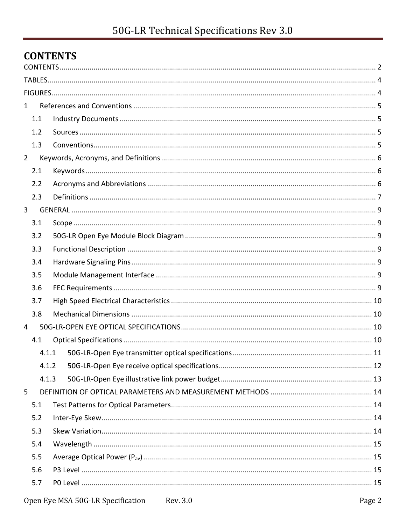# <span id="page-1-0"></span>**CONTENTS**

| $\mathbf{1}$   |       |                       |  |
|----------------|-------|-----------------------|--|
|                | 1.1   |                       |  |
|                | 1.2   |                       |  |
|                | 1.3   |                       |  |
| $\overline{2}$ |       |                       |  |
|                | 2.1   |                       |  |
|                | 2.2   |                       |  |
|                | 2.3   |                       |  |
| 3              |       |                       |  |
|                | 3.1   |                       |  |
|                | 3.2   |                       |  |
|                | 3.3   |                       |  |
|                | 3.4   |                       |  |
|                | 3.5   |                       |  |
|                | 3.6   |                       |  |
|                | 3.7   |                       |  |
|                | 3.8   |                       |  |
| 4              |       |                       |  |
|                | 4.1   |                       |  |
|                | 4.1.1 |                       |  |
|                | 4.1.2 |                       |  |
|                | 4.1.3 |                       |  |
| 5              |       |                       |  |
|                | 5.1   |                       |  |
|                | 5.2   |                       |  |
|                | 5.3   |                       |  |
|                | 5.4   |                       |  |
|                | 5.5   |                       |  |
|                | 5.6   |                       |  |
|                | 5.7   |                       |  |
|                |       | $\mathbf{F}^{\alpha}$ |  |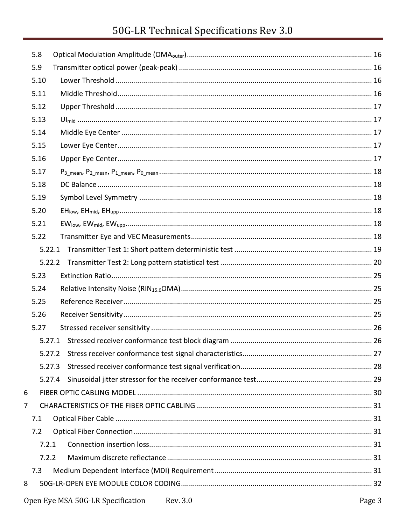# 50G-LR Technical Specifications Rev 3.0

|   | 5.8    |  |
|---|--------|--|
|   | 5.9    |  |
|   | 5.10   |  |
|   | 5.11   |  |
|   | 5.12   |  |
|   | 5.13   |  |
|   | 5.14   |  |
|   | 5.15   |  |
|   | 5.16   |  |
|   | 5.17   |  |
|   | 5.18   |  |
|   | 5.19   |  |
|   | 5.20   |  |
|   | 5.21   |  |
|   | 5.22   |  |
|   | 5.22.1 |  |
|   |        |  |
|   | 5.23   |  |
|   | 5.24   |  |
|   | 5.25   |  |
|   | 5.26   |  |
|   | 5.27   |  |
|   |        |  |
|   | 5.27.2 |  |
|   | 5.27.3 |  |
|   | 5.27.4 |  |
| 6 |        |  |
| 7 |        |  |
|   | 7.1    |  |
|   | 7.2    |  |
|   | 7.2.1  |  |
|   | 7.2.2  |  |
|   | 7.3    |  |
| 8 |        |  |
|   |        |  |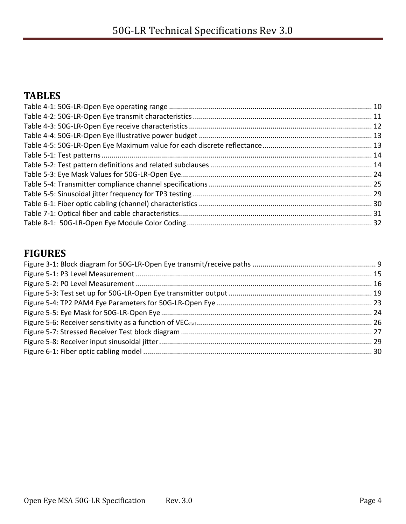# <span id="page-3-0"></span>**TABLES**

# <span id="page-3-1"></span>**FIGURES**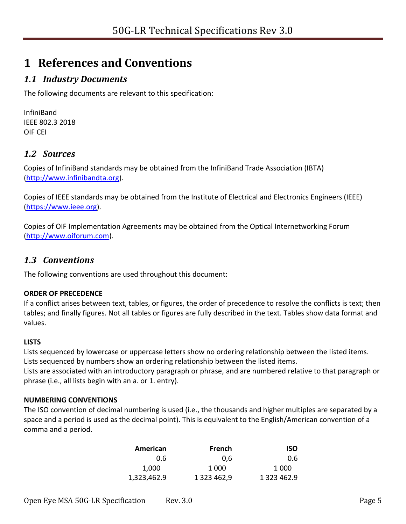# <span id="page-4-0"></span>**1 References and Conventions**

### <span id="page-4-1"></span>*1.1 Industry Documents*

The following documents are relevant to this specification:

InfiniBand IEEE 802.3 2018 OIF CEI

#### <span id="page-4-2"></span>*1.2 Sources*

Copies of InfiniBand standards may be obtained from the InfiniBand Trade Association (IBTA) [\(http://www.infinibandta.org\)](http://www.infinibandta.org/).

Copies of IEEE standards may be obtained from the Institute of Electrical and Electronics Engineers (IEEE) [\(https://www.ieee.org\)](https://www.ieee.org/).

Copies of OIF Implementation Agreements may be obtained from the Optical Internetworking Forum [\(http://www.oiforum.com\)](http://www.oiforum.com/).

#### <span id="page-4-3"></span>*1.3 Conventions*

The following conventions are used throughout this document:

#### **ORDER OF PRECEDENCE**

If a conflict arises between text, tables, or figures, the order of precedence to resolve the conflicts is text; then tables; and finally figures. Not all tables or figures are fully described in the text. Tables show data format and values.

#### **LISTS**

Lists sequenced by lowercase or uppercase letters show no ordering relationship between the listed items. Lists sequenced by numbers show an ordering relationship between the listed items.

Lists are associated with an introductory paragraph or phrase, and are numbered relative to that paragraph or phrase (i.e., all lists begin with an a. or 1. entry).

#### **NUMBERING CONVENTIONS**

The ISO convention of decimal numbering is used (i.e., the thousands and higher multiples are separated by a space and a period is used as the decimal point). This is equivalent to the English/American convention of a comma and a period.

| American    | French      | <b>ISO</b>  |
|-------------|-------------|-------------|
| 0.6         | 0.6         | 0.6         |
| 1,000       | 1 0 0 0     | 1 0 0 0     |
| 1,323,462.9 | 1 323 462,9 | 1 323 462.9 |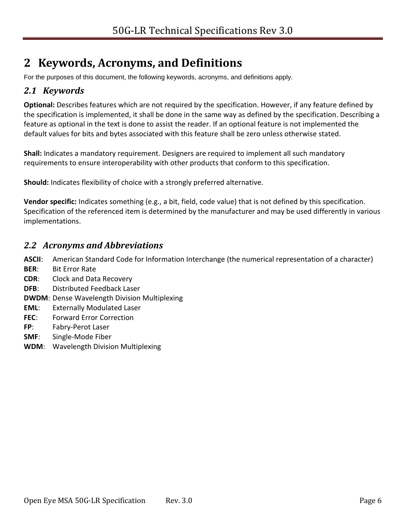# <span id="page-5-0"></span>**2 Keywords, Acronyms, and Definitions**

For the purposes of this document, the following keywords, acronyms, and definitions apply.

#### <span id="page-5-1"></span>*2.1 Keywords*

**Optional:** Describes features which are not required by the specification. However, if any feature defined by the specification is implemented, it shall be done in the same way as defined by the specification. Describing a feature as optional in the text is done to assist the reader. If an optional feature is not implemented the default values for bits and bytes associated with this feature shall be zero unless otherwise stated.

**Shall:** Indicates a mandatory requirement. Designers are required to implement all such mandatory requirements to ensure interoperability with other products that conform to this specification.

**Should:** Indicates flexibility of choice with a strongly preferred alternative.

**Vendor specific:** Indicates something (e.g., a bit, field, code value) that is not defined by this specification. Specification of the referenced item is determined by the manufacturer and may be used differently in various implementations.

#### <span id="page-5-2"></span>*2.2 Acronyms and Abbreviations*

**ASCII**: American Standard Code for Information Interchange (the numerical representation of a character)

- **BER**: Bit Error Rate
- **CDR**: Clock and Data Recovery
- **DFB**: Distributed Feedback Laser
- **DWDM**: Dense Wavelength Division Multiplexing
- **EML**: Externally Modulated Laser
- **FEC**: Forward Error Correction
- **FP**: Fabry-Perot Laser
- **SMF**: Single-Mode Fiber
- **WDM**: Wavelength Division Multiplexing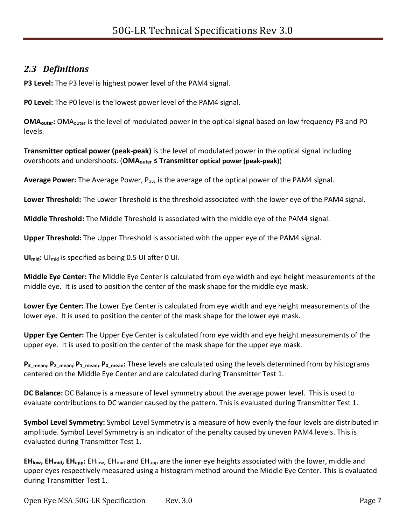### <span id="page-6-0"></span>*2.3 Definitions*

**P3 Level:** The P3 level is highest power level of the PAM4 signal.

**P0 Level:** The P0 level is the lowest power level of the PAM4 signal.

**OMA<sub>outer</sub>:** OMA<sub>outer</sub> is the level of modulated power in the optical signal based on low frequency P3 and P0 levels.

**Transmitter optical power (peak-peak)** is the level of modulated power in the optical signal including overshoots and undershoots. (**OMAouter ≤ Transmitter optical power (peak-peak)**)

**Average Power:** The Average Power, Pav, is the average of the optical power of the PAM4 signal.

**Lower Threshold:** The Lower Threshold is the threshold associated with the lower eye of the PAM4 signal.

**Middle Threshold:** The Middle Threshold is associated with the middle eye of the PAM4 signal.

**Upper Threshold:** The Upper Threshold is associated with the upper eye of the PAM4 signal.

**UImid:** UImid is specified as being 0.5 UI after 0 UI.

**Middle Eye Center:** The Middle Eye Center is calculated from eye width and eye height measurements of the middle eye. It is used to position the center of the mask shape for the middle eye mask.

**Lower Eye Center:** The Lower Eye Center is calculated from eye width and eye height measurements of the lower eye. It is used to position the center of the mask shape for the lower eye mask.

**Upper Eye Center:** The Upper Eye Center is calculated from eye width and eye height measurements of the upper eye. It is used to position the center of the mask shape for the upper eye mask.

**P3\_mean, P2\_mean, P1\_mean, P0\_mean:** These levels are calculated using the levels determined from by histograms centered on the Middle Eye Center and are calculated during Transmitter Test 1.

**DC Balance:** DC Balance is a measure of level symmetry about the average power level. This is used to evaluate contributions to DC wander caused by the pattern. This is evaluated during Transmitter Test 1.

**Symbol Level Symmetry:** Symbol Level Symmetry is a measure of how evenly the four levels are distributed in amplitude. Symbol Level Symmetry is an indicator of the penalty caused by uneven PAM4 levels. This is evaluated during Transmitter Test 1.

**EHlow, EHmid, EHupp:** EHlow, EHmid and EHupp are the inner eye heights associated with the lower, middle and upper eyes respectively measured using a histogram method around the Middle Eye Center. This is evaluated during Transmitter Test 1.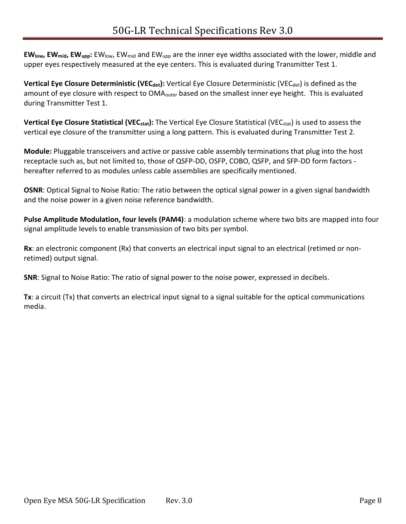**EWlow, EWmid, EWupp:** EWlow, EWmid and EWupp are the inner eye widths associated with the lower, middle and upper eyes respectively measured at the eye centers. This is evaluated during Transmitter Test 1.

**Vertical Eye Closure Deterministic (VEC<sub>det</sub>):** Vertical Eye Closure Deterministic (VEC<sub>det</sub>) is defined as the amount of eye closure with respect to OMA<sub>outer</sub> based on the smallest inner eye height. This is evaluated during Transmitter Test 1.

**Vertical Eye Closure Statistical (VECstat):** The Vertical Eye Closure Statistical (VECstat) is used to assess the vertical eye closure of the transmitter using a long pattern. This is evaluated during Transmitter Test 2.

**Module:** Pluggable transceivers and active or passive cable assembly terminations that plug into the host receptacle such as, but not limited to, those of QSFP-DD, OSFP, COBO, QSFP, and SFP-DD form factors hereafter referred to as modules unless cable assemblies are specifically mentioned.

**OSNR**: Optical Signal to Noise Ratio: The ratio between the optical signal power in a given signal bandwidth and the noise power in a given noise reference bandwidth.

**Pulse Amplitude Modulation, four levels (PAM4)**: a modulation scheme where two bits are mapped into four signal amplitude levels to enable transmission of two bits per symbol.

**Rx**: an electronic component (Rx) that converts an electrical input signal to an electrical (retimed or nonretimed) output signal.

**SNR**: Signal to Noise Ratio: The ratio of signal power to the noise power, expressed in decibels.

**Tx**: a circuit (Tx) that converts an electrical input signal to a signal suitable for the optical communications media.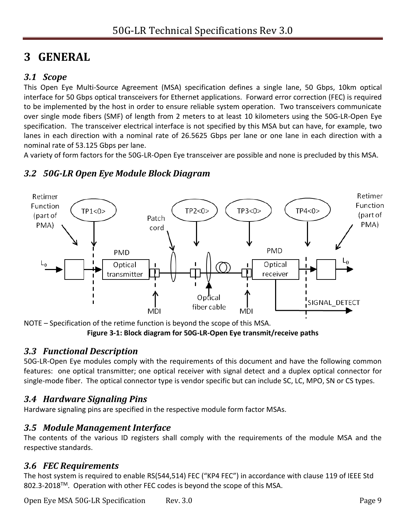# <span id="page-8-0"></span>**3 GENERAL**

### <span id="page-8-1"></span>*3.1 Scope*

This Open Eye Multi-Source Agreement (MSA) specification defines a single lane, 50 Gbps, 10km optical interface for 50 Gbps optical transceivers for Ethernet applications. Forward error correction (FEC) is required to be implemented by the host in order to ensure reliable system operation. Two transceivers communicate over single mode fibers (SMF) of length from 2 meters to at least 10 kilometers using the 50G-LR-Open Eye specification. The transceiver electrical interface is not specified by this MSA but can have, for example, two lanes in each direction with a nominal rate of 26.5625 Gbps per lane or one lane in each direction with a nominal rate of 53.125 Gbps per lane.

A variety of form factors for the 50G-LR-Open Eye transceiver are possible and none is precluded by this MSA.



### <span id="page-8-2"></span>*3.2 50G-LR Open Eye Module Block Diagram*

<span id="page-8-7"></span>NOTE – Specification of the retime function is beyond the scope of this MSA. **Figure 3-1: Block diagram for 50G-LR-Open Eye transmit/receive paths**

### <span id="page-8-3"></span>*3.3 Functional Description*

50G-LR-Open Eye modules comply with the requirements of this document and have the following common features: one optical transmitter; one optical receiver with signal detect and a duplex optical connector for single-mode fiber. The optical connector type is vendor specific but can include SC, LC, MPO, SN or CS types.

## <span id="page-8-4"></span>*3.4 Hardware Signaling Pins*

Hardware signaling pins are specified in the respective module form factor MSAs.

### <span id="page-8-5"></span>*3.5 Module Management Interface*

The contents of the various ID registers shall comply with the requirements of the module MSA and the respective standards.

### <span id="page-8-6"></span>*3.6 FEC Requirements*

The host system is required to enable RS(544,514) FEC ("KP4 FEC") in accordance with clause 119 of IEEE Std 802.3-2018™. Operation with other FEC codes is beyond the scope of this MSA.

Open Eye MSA 50G-LR Specification Rev. 3.0 Page 9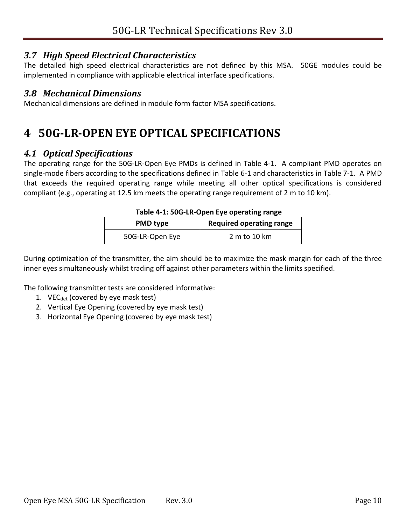#### <span id="page-9-0"></span>*3.7 High Speed Electrical Characteristics*

The detailed high speed electrical characteristics are not defined by this MSA. 50GE modules could be implemented in compliance with applicable electrical interface specifications.

#### <span id="page-9-1"></span>*3.8 Mechanical Dimensions*

Mechanical dimensions are defined in module form factor MSA specifications.

# <span id="page-9-2"></span>**4 50G-LR-OPEN EYE OPTICAL SPECIFICATIONS**

#### <span id="page-9-3"></span>*4.1 Optical Specifications*

The operating range for the 50G-LR-Open Eye PMDs is defined in [Table 4-1.](#page-9-4) A compliant PMD operates on single-mode fibers according to the specifications defined in [Table 6-1](#page-29-1) and characteristics in [Table 7-1.](#page-30-6) A PMD that exceeds the required operating range while meeting all other optical specifications is considered compliant (e.g., operating at 12.5 km meets the operating range requirement of 2 m to 10 km).

| Table 4-1: 50G-LR-Open Eye operating range |                                 |  |
|--------------------------------------------|---------------------------------|--|
| <b>PMD type</b>                            | <b>Required operating range</b> |  |
| 50G-LR-Open Eye                            | 2 m to 10 km                    |  |

| Table 4-1: 50G-LR-Open Eye operating range |  |
|--------------------------------------------|--|
|--------------------------------------------|--|

<span id="page-9-4"></span>During optimization of the transmitter, the aim should be to maximize the mask margin for each of the three inner eyes simultaneously whilst trading off against other parameters within the limits specified.

The following transmitter tests are considered informative:

- 1. VE $C_{\text{det}}$  (covered by eye mask test)
- 2. Vertical Eye Opening (covered by eye mask test)
- 3. Horizontal Eye Opening (covered by eye mask test)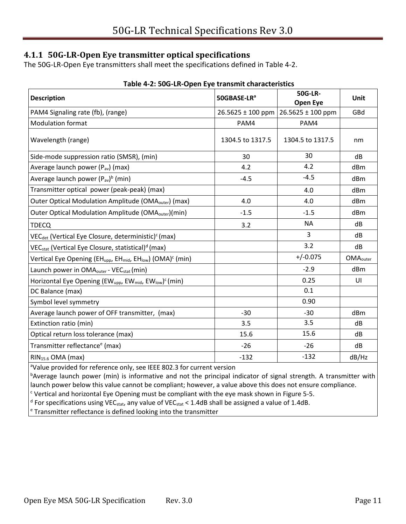#### <span id="page-10-0"></span>**4.1.1 50G-LR-Open Eye transmitter optical specifications**

The 50G-LR-Open Eye transmitters shall meet the specifications defined in [Table 4-2.](#page-10-1)

<span id="page-10-1"></span>

|                                                                                                            | Table 4-2. 500-LN-Open Lye transmit characteristics |                            |                      |  |  |
|------------------------------------------------------------------------------------------------------------|-----------------------------------------------------|----------------------------|----------------------|--|--|
| <b>Description</b>                                                                                         | 50GBASE-LR <sup>a</sup>                             | <b>50G-LR-</b><br>Open Eye | Unit                 |  |  |
| PAM4 Signaling rate (fb), (range)                                                                          | $26.5625 \pm 100$ ppm                               | $26.5625 \pm 100$ ppm      | GBd                  |  |  |
| <b>Modulation format</b>                                                                                   | PAM4                                                | PAM4                       |                      |  |  |
| Wavelength (range)                                                                                         | 1304.5 to 1317.5                                    | 1304.5 to 1317.5           | nm                   |  |  |
| Side-mode suppression ratio (SMSR), (min)                                                                  | 30                                                  | 30                         | dB                   |  |  |
| Average launch power (P <sub>av</sub> ) (max)                                                              | 4.2                                                 | 4.2                        | dBm                  |  |  |
| Average launch power $(P_{av})^b$ (min)                                                                    | $-4.5$                                              | $-4.5$                     | d <sub>Bm</sub>      |  |  |
| Transmitter optical power (peak-peak) (max)                                                                |                                                     | 4.0                        | dBm                  |  |  |
| Outer Optical Modulation Amplitude (OMA <sub>outer</sub> ) (max)                                           | 4.0                                                 | 4.0                        | dBm                  |  |  |
| Outer Optical Modulation Amplitude (OMA <sub>outer</sub> )(min)                                            | $-1.5$                                              | $-1.5$                     | dBm                  |  |  |
| <b>TDECQ</b>                                                                                               | 3.2                                                 | <b>NA</b>                  | dB                   |  |  |
| $VECdet$ (Vertical Eye Closure, deterministic) <sup>c</sup> (max)                                          |                                                     | 3                          | dB                   |  |  |
| $VECstat$ (Vertical Eye Closure, statistical) <sup>d</sup> (max)                                           |                                                     | 3.2                        | dB                   |  |  |
| Vertical Eye Opening (EH <sub>upp</sub> , EH <sub>mid</sub> , EH <sub>low</sub> ) (OMA) <sup>c</sup> (min) |                                                     | $+/-0.075$                 | OMA <sub>outer</sub> |  |  |
| Launch power in OMA <sub>outer</sub> - VEC <sub>stat</sub> (min)                                           |                                                     | $-2.9$                     | dBm                  |  |  |
| Horizontal Eye Opening (EW <sub>upp</sub> , EW <sub>mid</sub> , EW <sub>low</sub> ) <sup>c</sup> (min)     |                                                     | 0.25                       | UI                   |  |  |
| DC Balance (max)                                                                                           |                                                     | 0.1                        |                      |  |  |
| Symbol level symmetry                                                                                      |                                                     | 0.90                       |                      |  |  |
| Average launch power of OFF transmitter, (max)                                                             | $-30$                                               | $-30$                      | dBm                  |  |  |
| Extinction ratio (min)                                                                                     | 3.5                                                 | 3.5                        | dB                   |  |  |
| Optical return loss tolerance (max)                                                                        | 15.6                                                | 15.6                       | dB                   |  |  |
| Transmitter reflectance <sup>e</sup> (max)                                                                 | $-26$                                               | $-26$                      | dB                   |  |  |
| RIN <sub>15.6</sub> OMA (max)                                                                              | $-132$                                              | $-132$                     | dB/Hz                |  |  |

#### **Table 4-2: 50G-LR-Open Eye transmit characteristics**

aValue provided for reference only, see IEEE 802.3 for current version

bAverage launch power (min) is informative and not the principal indicator of signal strength. A transmitter with launch power below this value cannot be compliant; however, a value above this does not ensure compliance.

 $c$  Vertical and horizontal Eye Opening must be compliant with the eye mask shown i[n Figure 5-5.](#page-23-1)

 $^{\text{d}}$  For specifications using VEC<sub>stat</sub>, any value of VEC<sub>stat</sub> < 1.4dB shall be assigned a value of 1.4dB.

<sup>e</sup> Transmitter reflectance is defined looking into the transmitter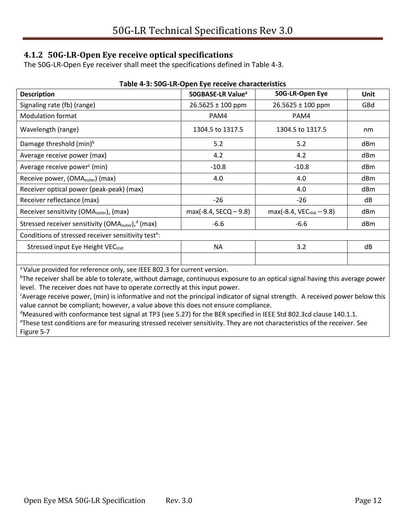#### <span id="page-11-0"></span>**4.1.2 50G-LR-Open Eye receive optical specifications**

The 50G-LR-Open Eye receiver shall meet the specifications defined in [Table 4-3.](#page-11-1)

<span id="page-11-1"></span>

| <b>Description</b>                                               | 50GBASE-LR Value <sup>a</sup> | 50G-LR-Open Eye             | Unit |
|------------------------------------------------------------------|-------------------------------|-----------------------------|------|
| Signaling rate (fb) (range)                                      | $26.5625 \pm 100$ ppm         | $26.5625 \pm 100$ ppm       | GBd  |
| <b>Modulation format</b>                                         | PAM4                          | PAM4                        |      |
| Wavelength (range)                                               | 1304.5 to 1317.5              | 1304.5 to 1317.5            | nm   |
| Damage threshold (min) <sup>b</sup>                              | 5.2                           | 5.2                         | dBm  |
| Average receive power (max)                                      | 4.2                           | 4.2                         | dBm  |
| Average receive power <sup>c</sup> (min)                         | $-10.8$                       | $-10.8$                     | dBm  |
| Receive power, (OMA <sub>outer</sub> ) (max)                     | 4.0                           | 4.0                         | dBm  |
| Receiver optical power (peak-peak) (max)                         |                               | 4.0                         | dBm  |
| Receiver reflectance (max)                                       | $-26$                         | -26                         | dB   |
| Receiver sensitivity (OMA <sub>outer</sub> ), (max)              | $max(-8.4, SECQ - 9.8)$       | $max(-8.4, VEC_{stat}-9.8)$ | dBm  |
| Stressed receiver sensitivity (OMA <sub>outer</sub> ), $d$ (max) | $-6.6$                        | $-6.6$                      | dBm  |
| Conditions of stressed receiver sensitivity test <sup>e</sup> :  |                               |                             |      |
| Stressed input Eye Height VEC <sub>stat</sub>                    | ΝA                            | 3.2                         | dB   |
|                                                                  |                               |                             |      |

#### **Table 4-3: 50G-LR-Open Eye receive characteristics**

a Value provided for reference only, see IEEE 802.3 for current version.

<sup>b</sup>The receiver shall be able to tolerate, without damage, continuous exposure to an optical signal having this average power level. The receiver does not have to operate correctly at this input power.

<sup>c</sup>Average receive power, (min) is informative and not the principal indicator of signal strength. A received power below this value cannot be compliant; however, a value above this does not ensure compliance.

 $d$ Measured with conformance test signal at TP3 (see [5.27\)](#page-25-3) for the BER specified in IEEE Std 802.3cd clause 140.1.1.

<sup>e</sup>These test conditions are for measuring stressed receiver sensitivity. They are not characteristics of the receiver. See [Figure 5-7](#page-26-1)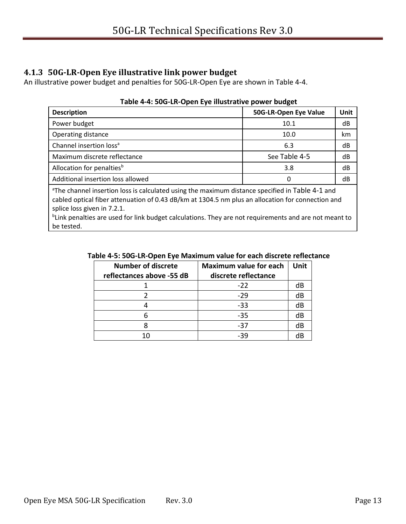#### <span id="page-12-0"></span>**4.1.3 50G-LR-Open Eye illustrative link power budget**

<span id="page-12-1"></span>An illustrative power budget and penalties for 50G-LR-Open Eye are shown in [Table 4-4.](#page-12-1)

| <b>Description</b>                                                                                                                                                                                                                              | 50G-LR-Open Eye Value | <b>Unit</b> |
|-------------------------------------------------------------------------------------------------------------------------------------------------------------------------------------------------------------------------------------------------|-----------------------|-------------|
| Power budget                                                                                                                                                                                                                                    | 10.1                  | dB          |
| Operating distance                                                                                                                                                                                                                              | 10.0                  | km          |
| Channel insertion loss <sup>a</sup>                                                                                                                                                                                                             | 6.3                   | dB          |
| Maximum discrete reflectance                                                                                                                                                                                                                    | See Table 4-5         | dB          |
| Allocation for penalties <sup>b</sup>                                                                                                                                                                                                           | 3.8                   | dB          |
| Additional insertion loss allowed                                                                                                                                                                                                               | 0                     | dB          |
| <sup>a</sup> The channel insertion loss is calculated using the maximum distance specified in Table 4-1 and<br>cabled optical fiber attenuation of 0.43 dB/km at 1304.5 nm plus an allocation for connection and<br>splice loss given in 7.2.1. |                       |             |

#### **Table 4-4: 50G-LR-Open Eye illustrative power budget**

<span id="page-12-2"></span><sup>b</sup>Link penalties are used for link budget calculations. They are not requirements and are not meant to be tested.

#### **Table 4-5: 50G-LR-Open Eye Maximum value for each discrete reflectance**

| <b>Number of discrete</b> | <b>Maximum value for each</b> | <b>Unit</b> |
|---------------------------|-------------------------------|-------------|
| reflectances above -55 dB | discrete reflectance          |             |
|                           | $-22$                         | dB          |
|                           | $-29$                         | dB          |
|                           | $-33$                         | dB          |
|                           | $-35$                         | dB          |
|                           | $-37$                         | dB          |
| 10                        | -39                           | dB          |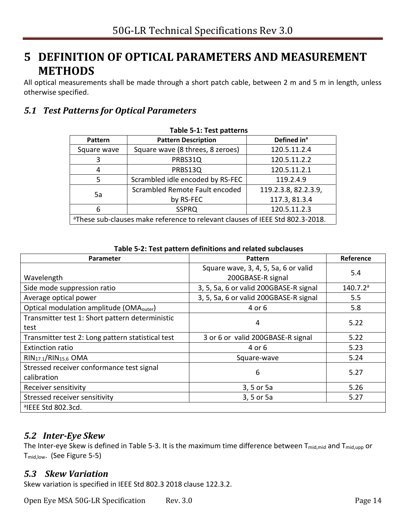# <span id="page-13-0"></span>**5 DEFINITION OF OPTICAL PARAMETERS AND MEASUREMENT METHODS**

All optical measurements shall be made through a short patch cable, between 2 m and 5 m in length, unless otherwise specified.

### <span id="page-13-4"></span><span id="page-13-1"></span>*5.1 Test Patterns for Optical Parameters*

| LAMIC J-T' LEST NAMELIIS                                                                  |                                               |                         |  |
|-------------------------------------------------------------------------------------------|-----------------------------------------------|-------------------------|--|
| <b>Pattern</b>                                                                            | <b>Pattern Description</b>                    | Defined in <sup>a</sup> |  |
| Square wave                                                                               | Square wave (8 threes, 8 zeroes)              | 120.5.11.2.4            |  |
| 3                                                                                         | 120.5.11.2.2<br>PRBS31Q                       |                         |  |
| 4                                                                                         | PRBS13Q<br>120.5.11.2.1                       |                         |  |
| 5                                                                                         | Scrambled idle encoded by RS-FEC<br>119.2.4.9 |                         |  |
| Scrambled Remote Fault encoded<br>5a                                                      |                                               | 119.2.3.8, 82.2.3.9,    |  |
|                                                                                           | by RS-FEC                                     | 117.3, 81.3.4           |  |
| 6                                                                                         | 120.5.11.2.3<br><b>SSPRQ</b>                  |                         |  |
| <sup>a</sup> These sub-clauses make reference to relevant clauses of IEEE Std 802.3-2018. |                                               |                         |  |

#### **Table 5-1: Test patterns**

<span id="page-13-5"></span>

| <b>Parameter</b>                                         | <b>Pattern</b>                                            | <b>Reference</b>     |  |
|----------------------------------------------------------|-----------------------------------------------------------|----------------------|--|
| Wavelength                                               | Square wave, 3, 4, 5, 5a, 6 or valid<br>200GBASE-R signal | 5.4                  |  |
| Side mode suppression ratio                              | 3, 5, 5a, 6 or valid 200GBASE-R signal                    | 140.7.2 <sup>a</sup> |  |
| Average optical power                                    | 3, 5, 5a, 6 or valid 200GBASE-R signal                    | 5.5                  |  |
| Optical modulation amplitude (OMA <sub>outer</sub> )     | 4 or 6                                                    | 5.8                  |  |
| Transmitter test 1: Short pattern deterministic<br>test  | 4                                                         | 5.22                 |  |
| Transmitter test 2: Long pattern statistical test        | 3 or 6 or valid 200GBASE-R signal                         | 5.22                 |  |
| <b>Extinction ratio</b>                                  | 4 or 6                                                    | 5.23                 |  |
| RIN <sub>17.1</sub> /RIN <sub>15.6</sub> OMA             | Square-wave                                               | 5.24                 |  |
| Stressed receiver conformance test signal<br>calibration | 6                                                         | 5.27                 |  |
| Receiver sensitivity                                     | 3, 5 or 5a                                                | 5.26                 |  |
| Stressed receiver sensitivity                            | 3, 5 or 5a                                                | 5.27                 |  |
| <sup>a</sup> IEEE Std 802.3cd.                           |                                                           |                      |  |

**Table 5-2: Test pattern definitions and related subclauses**

#### <span id="page-13-2"></span>*5.2 Inter-Eye Skew*

The Inter-eye Skew is defined in [Table 5-3.](#page-23-0) It is the maximum time difference between T<sub>mid,mid</sub> and T<sub>mid,upp</sub> or Tmid,low. (See [Figure 5-5\)](#page-23-1)

#### <span id="page-13-3"></span>*5.3 Skew Variation*

Skew variation is specified in IEEE Std 802.3 2018 clause 122.3.2.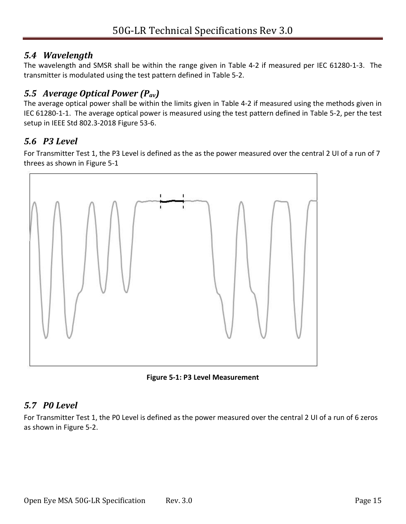### <span id="page-14-0"></span>*5.4 Wavelength*

The wavelength and SMSR shall be within the range given in [Table 4-2](#page-10-1) if measured per IEC 61280-1-3. The transmitter is modulated using the test pattern defined in [Table 5-2.](#page-13-5)

## <span id="page-14-1"></span>*5.5 Average Optical Power (Pav)*

The average optical power shall be within the limits given in [Table 4-2](#page-10-1) if measured using the methods given in IEC 61280-1-1. The average optical power is measured using the test pattern defined in [Table 5-2,](#page-13-5) per the test setup in IEEE Std 802.3-2018 Figure 53-6.

# <span id="page-14-2"></span>*5.6 P3 Level*

For Transmitter Test 1, the P3 Level is defined as the as the power measured over the central 2 UI of a run of 7 threes as shown in [Figure 5-1](#page-14-4)



**Figure 5-1: P3 Level Measurement** 

# <span id="page-14-4"></span><span id="page-14-3"></span>*5.7 P0 Level*

For Transmitter Test 1, the P0 Level is defined as the power measured over the central 2 UI of a run of 6 zeros as shown in [Figure 5-2.](#page-15-4)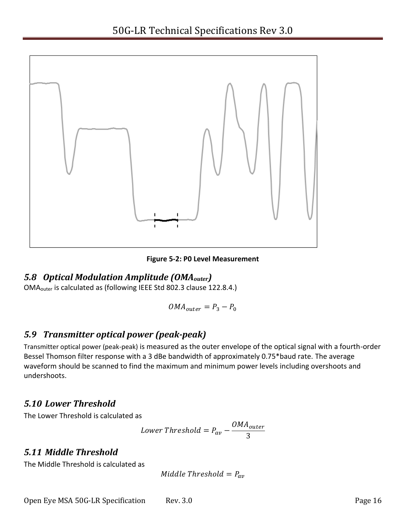

**Figure 5-2: P0 Level Measurement** 

### <span id="page-15-4"></span><span id="page-15-0"></span>*5.8 Optical Modulation Amplitude (OMAouter)*

OMAouter is calculated as (following IEEE Std 802.3 clause 122.8.4.)

$$
OMA_{outer} = P_3 - P_0
$$

## <span id="page-15-1"></span>*5.9 Transmitter optical power (peak-peak)*

Transmitter optical power (peak-peak) is measured as the outer envelope of the optical signal with a fourth-order Bessel Thomson filter response with a 3 dBe bandwidth of approximately 0.75\*baud rate. The average waveform should be scanned to find the maximum and minimum power levels including overshoots and undershoots.

### <span id="page-15-2"></span>*5.10 Lower Threshold*

The Lower Threshold is calculated as

Lower Threshold = 
$$
P_{av} - \frac{OMA_{outer}}{3}
$$

## <span id="page-15-3"></span>*5.11 Middle Threshold*

The Middle Threshold is calculated as

$$
Middle\ Threshold = P_{av}
$$

Open Eye MSA 50G-LR Specification Rev. 3.0 Page 16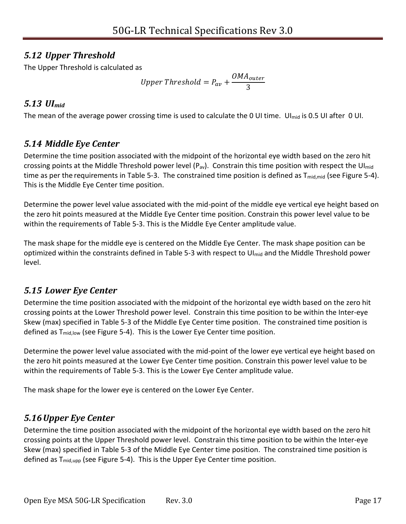## <span id="page-16-0"></span>*5.12 Upper Threshold*

The Upper Threshold is calculated as

Upper Threshold = 
$$
P_{av} + \frac{OMA_{outer}}{3}
$$

### <span id="page-16-1"></span>*5.13 UImid*

The mean of the average power crossing time is used to calculate the 0 UI time. UI<sub>mid</sub> is 0.5 UI after 0 UI.

## <span id="page-16-2"></span>*5.14 Middle Eye Center*

Determine the time position associated with the midpoint of the horizontal eye width based on the zero hit crossing points at the Middle Threshold power level  $(P_{av})$ . Constrain this time position with respect the UI<sub>mid</sub> time as per the requirements in [Table 5-3.](#page-23-0) The constrained time position is defined as  $T_{mid, mid}$  (see [Figure 5-4\)](#page-22-0). This is the Middle Eye Center time position.

Determine the power level value associated with the mid-point of the middle eye vertical eye height based on the zero hit points measured at the Middle Eye Center time position. Constrain this power level value to be within the requirements of [Table 5-3.](#page-23-0) This is the Middle Eye Center amplitude value.

The mask shape for the middle eye is centered on the Middle Eye Center. The mask shape position can be optimized within the constraints defined in [Table 5-3](#page-23-0) with respect to UI<sub>mid</sub> and the Middle Threshold power level.

# <span id="page-16-3"></span>*5.15 Lower Eye Center*

Determine the time position associated with the midpoint of the horizontal eye width based on the zero hit crossing points at the Lower Threshold power level. Constrain this time position to be within the Inter-eye Skew (max) specified in [Table 5-3](#page-23-0) of the Middle Eye Center time position. The constrained time position is defined as  $T_{mid,low}$  (see [Figure 5-4\)](#page-22-0). This is the Lower Eye Center time position.

Determine the power level value associated with the mid-point of the lower eye vertical eye height based on the zero hit points measured at the Lower Eye Center time position. Constrain this power level value to be within the requirements of [Table 5-3.](#page-23-0) This is the Lower Eye Center amplitude value.

The mask shape for the lower eye is centered on the Lower Eye Center.

# <span id="page-16-4"></span>*5.16Upper Eye Center*

Determine the time position associated with the midpoint of the horizontal eye width based on the zero hit crossing points at the Upper Threshold power level. Constrain this time position to be within the Inter-eye Skew (max) specified in [Table 5-3](#page-23-0) of the Middle Eye Center time position. The constrained time position is defined as  $T_{mid,upp}$  (see [Figure 5-4\)](#page-22-0). This is the Upper Eye Center time position.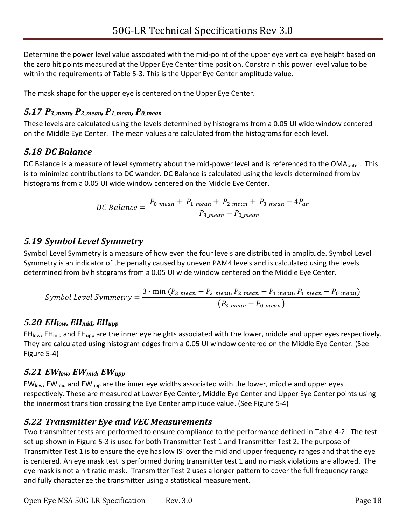Determine the power level value associated with the mid-point of the upper eye vertical eye height based on the zero hit points measured at the Upper Eye Center time position. Constrain this power level value to be within the requirements of [Table 5-3.](#page-23-0) This is the Upper Eye Center amplitude value.

The mask shape for the upper eye is centered on the Upper Eye Center.

# <span id="page-17-0"></span>*5.17 P3\_mean, P2\_mean, P1\_mean, P0\_mean*

These levels are calculated using the levels determined by histograms from a 0.05 UI wide window centered on the Middle Eye Center. The mean values are calculated from the histograms for each level.

# <span id="page-17-1"></span>*5.18 DC Balance*

DC Balance is a measure of level symmetry about the mid-power level and is referenced to the OMA<sub>outer</sub>. This is to minimize contributions to DC wander. DC Balance is calculated using the levels determined from by histograms from a 0.05 UI wide window centered on the Middle Eye Center.

$$
DC \, Balance = \frac{P_{0\_mean} + P_{1\_mean} + P_{2\_mean} + P_{3\_mean} - 4P_{av}}{P_{3\_mean} - P_{0\_mean}}
$$

# <span id="page-17-2"></span>*5.19 Symbol Level Symmetry*

Symbol Level Symmetry is a measure of how even the four levels are distributed in amplitude. Symbol Level Symmetry is an indicator of the penalty caused by uneven PAM4 levels and is calculated using the levels determined from by histograms from a 0.05 UI wide window centered on the Middle Eye Center.

$$
Symbol \ Level \ Symmetry = \frac{3 \cdot \min (P_{3\_mean} - P_{2\_mean}, P_{2\_mean} - P_{1\_mean}, P_{1\_mean} - P_{0\_mean})}{(P_{3\_mean} - P_{0\_mean})}
$$

## <span id="page-17-3"></span>*5.20 EHlow, EHmid, EHupp*

EH<sub>low</sub>, EH<sub>mid</sub> and EH<sub>upp</sub> are the inner eye heights associated with the lower, middle and upper eyes respectively. They are calculated using histogram edges from a 0.05 UI window centered on the Middle Eye Center. (See [Figure 5-4\)](#page-22-0)

## <span id="page-17-4"></span>*5.21 EWlow, EWmid, EWupp*

 $EW_{low}$ , EW<sub>mid</sub> and EW<sub>upp</sub> are the inner eye widths associated with the lower, middle and upper eyes respectively. These are measured at Lower Eye Center, Middle Eye Center and Upper Eye Center points using the innermost transition crossing the Eye Center amplitude value. (See [Figure 5-4\)](#page-22-0)

# <span id="page-17-6"></span><span id="page-17-5"></span>*5.22 Transmitter Eye and VEC Measurements*

Two transmitter tests are performed to ensure compliance to the performance defined in [Table 4-2.](#page-10-1) The test set up shown in [Figure 5-3](#page-18-1) is used for both Transmitter Test 1 and Transmitter Test 2. The purpose of Transmitter Test 1 is to ensure the eye has low ISI over the mid and upper frequency ranges and that the eye is centered. An eye mask test is performed during transmitter test 1 and no mask violations are allowed. The eye mask is not a hit ratio mask. Transmitter Test 2 uses a longer pattern to cover the full frequency range and fully characterize the transmitter using a statistical measurement.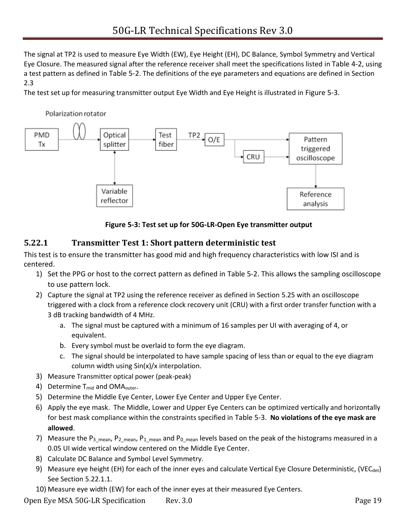The signal at TP2 is used to measure Eye Width (EW), Eye Height (EH), DC Balance, Symbol Symmetry and Vertical Eye Closure. The measured signal after the reference receiver shall meet the specifications listed in [Table 4-2](#page-10-1), using a test pattern as defined in [Table 5-2](#page-13-5). The definitions of the eye parameters and equations are defined in Section [2.3](#page-6-0)

The test set up for measuring transmitter output Eye Width and Eye Height is illustrated in [Figure 5-3](#page-18-1).



#### **Figure 5-3: Test set up for 50G-LR-Open Eye transmitter output**

#### <span id="page-18-1"></span><span id="page-18-0"></span>**5.22.1 Transmitter Test 1: Short pattern deterministic test**

This test is to ensure the transmitter has good mid and high frequency characteristics with low ISI and is centered.

- 1) Set the PPG or host to the correct pattern as defined in [Table 5-2.](#page-13-5) This allows the sampling oscilloscope to use pattern lock.
- 2) Capture the signal at TP2 using the reference receiver as defined in Section [5.25](#page-24-2) with an oscilloscope triggered with a clock from a reference clock recovery unit (CRU) with a first order transfer function with a 3 dB tracking bandwidth of 4 MHz.
	- a. The signal must be captured with a minimum of 16 samples per UI with averaging of 4, or equivalent.
	- b. Every symbol must be overlaid to form the eye diagram.
	- c. The signal should be interpolated to have sample spacing of less than or equal to the eye diagram column width using Sin(x)/x interpolation.
- 3) Measure Transmitter optical power (peak-peak)
- 4) Determine T<sub>mid</sub> and OMA<sub>outer</sub>.
- 5) Determine the Middle Eye Center, Lower Eye Center and Upper Eye Center.
- 6) Apply the eye mask. The Middle, Lower and Upper Eye Centers can be optimized vertically and horizontally for best mask compliance within the constraints specified in [Table 5-3](#page-23-0). **No violations of the eye mask are allowed**.
- 7) Measure the P<sub>3\_mean</sub>, P<sub>2\_mean</sub>, P<sub>1\_mean</sub> and P<sub>0\_mean</sub> levels based on the peak of the histograms measured in a 0.05 UI wide vertical window centered on the Middle Eye Center.
- 8) Calculate DC Balance and Symbol Level Symmetry.
- 9) Measure eye height (EH) for each of the inner eyes and calculate Vertical Eye Closure Deterministic, (VEC<sub>det</sub>) See Section [5.22.1.1.](#page-19-1)
- 10) Measure eye width (EW) for each of the inner eyes at their measured Eye Centers.

Open Eye MSA 50G-LR Specification Rev. 3.0 Page 19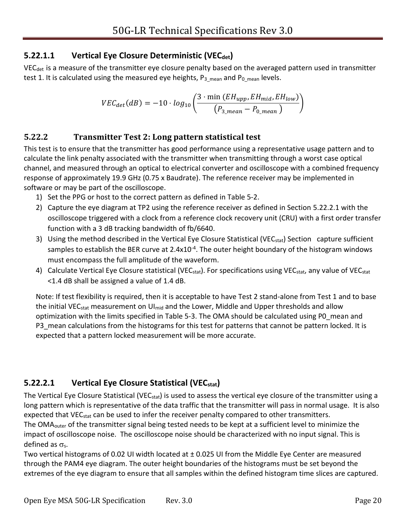### <span id="page-19-1"></span>**5.22.1.1 Vertical Eye Closure Deterministic (VECdet)**

VEC<sub>det</sub> is a measure of the transmitter eye closure penalty based on the averaged pattern used in transmitter test 1. It is calculated using the measured eye heights,  $P_{3_{\text{mean}}}$  and  $P_{0_{\text{mean}}}$  levels.

<span id="page-19-0"></span>
$$
VEC_{det}(dB) = -10 \cdot log_{10}\left(\frac{3 \cdot \min (EH_{upp}, EH_{mid}, EH_{low})}{(P_{3\_mean} - P_{0\_mean})}\right)
$$

#### **5.22.2 Transmitter Test 2: Long pattern statistical test**

This test is to ensure that the transmitter has good performance using a representative usage pattern and to calculate the link penalty associated with the transmitter when transmitting through a worst case optical channel, and measured through an optical to electrical converter and oscilloscope with a combined frequency response of approximately 19.9 GHz (0.75 x Baudrate). The reference receiver may be implemented in software or may be part of the oscilloscope.

- 1) Set the PPG or host to the correct pattern as defined in [Table 5-2.](#page-13-5)
- 2) Capture the eye diagram at TP2 using the reference receiver as defined in Section [5.22.2.1](#page-19-2) with the oscilloscope triggered with a clock from a reference clock recovery unit (CRU) with a first order transfer function with a 3 dB tracking bandwidth of fb/6640.
- 3) Using the method described in the Vertical Eye Closure Statistical (VEC<sub>stat</sub>) Section capture sufficient samples to establish the BER curve at 2.4x10<sup>-4</sup>. The outer height boundary of the histogram windows must encompass the full amplitude of the waveform.
- 4) Calculate Vertical Eye Closure statistical (VEC<sub>stat</sub>). For specifications using VEC<sub>stat</sub>, any value of VEC<sub>stat</sub> <1.4 dB shall be assigned a value of 1.4 dB.

Note: If test flexibility is required, then it is acceptable to have Test 2 stand-alone from Test 1 and to base the initial VEC<sub>stat</sub> measurement on UI<sub>mid</sub> and the Lower, Middle and Upper thresholds and allow optimization with the limits specified in [Table 5-3.](#page-23-0) The OMA should be calculated using P0\_mean and P3 mean calculations from the histograms for this test for patterns that cannot be pattern locked. It is expected that a pattern locked measurement will be more accurate.

# <span id="page-19-2"></span>**5.22.2.1 Vertical Eye Closure Statistical (VECstat)**

The Vertical Eye Closure Statistical (VEC<sub>stat</sub>) is used to assess the vertical eye closure of the transmitter using a long pattern which is representative of the data traffic that the transmitter will pass in normal usage. It is also expected that VEC<sub>stat</sub> can be used to infer the receiver penalty compared to other transmitters.

The OMAouter of the transmitter signal being tested needs to be kept at a sufficient level to minimize the impact of oscilloscope noise. The oscilloscope noise should be characterized with no input signal. This is defined as  $\sigma_{s}$ .

Two vertical histograms of 0.02 UI width located at ± 0.025 UI from the Middle Eye Center are measured through the PAM4 eye diagram. The outer height boundaries of the histograms must be set beyond the extremes of the eye diagram to ensure that all samples within the defined histogram time slices are captured.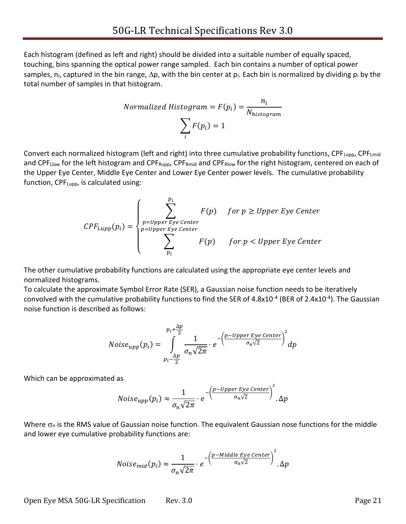Each histogram (defined as left and right) should be divided into a suitable number of equally spaced, touching, bins spanning the optical power range sampled. Each bin contains a number of optical power samples, n<sub>i</sub>, captured in the bin range,  $\Delta p$ , with the bin center at p<sub>i</sub>. Each bin is normalized by dividing p<sub>i</sub> by the total number of samples in that histogram.

$$
Normalized Histogram = F(p_i) = \frac{n_i}{N_{histogram}}
$$

$$
\sum_{i} F(p_i) = 1
$$

Convert each normalized histogram (left and right) into three cumulative probability functions, CPF<sub>Lupp</sub>, CPF<sub>Lmid</sub> and CPF<sub>Llow</sub> for the left histogram and CPF<sub>Rupp</sub>, CPF<sub>Rmid</sub> and CPF<sub>Rlow</sub> for the right histogram, centered on each of the Upper Eye Center, Middle Eye Center and Lower Eye Center power levels. The cumulative probability function, CPFLupp, is calculated using:

$$
CPF_{Lupp}(p_i) = \begin{cases} \sum_{p=Upper\,Eye\,Center}^{p_i} & \text{for } p \geq Upper\,Eye\,Center\\ \sum_{p=Upper\,Eye\,Center}^{p=Upper\,Eye\,Center} & \text{for } p < Upper\,Eye\,Center \end{cases}
$$

The other cumulative probability functions are calculated using the appropriate eye center levels and normalized histograms.

To calculate the approximate Symbol Error Rate (SER), a Gaussian noise function needs to be iteratively convolved with the cumulative probability functions to find the SER of 4.8x10<sup>-4</sup> (BER of 2.4x10<sup>-4</sup>). The Gaussian noise function is described as follows:

$$
Noise_{upp}(p_i) = \int_{p_i - \frac{\Delta p}{2}}^{p_i + \frac{\Delta p}{2}} \frac{1}{\sigma_n \sqrt{2\pi}} \cdot e^{-\left(\frac{p - Upper ~Eye ~Center}{\sigma_n \sqrt{2}}\right)^2} dp
$$

Which can be approximated as

$$
Noise_{upp}(p_i) \approx \frac{1}{\sigma_n \sqrt{2\pi}} \cdot e^{-\left(\frac{p-Upper\ Eye\ Center}{\sigma_n \sqrt{2}}\right)^2}.\Delta p
$$

Where  $\sigma_n$  is the RMS value of Gaussian noise function. The equivalent Gaussian nose functions for the middle and lower eye cumulative probability functions are:

$$
Noise_{mid}(p_i) \approx \frac{1}{\sigma_n \sqrt{2\pi}} \cdot e^{-\left(\frac{p - Middle\,Eye\,Center}{\sigma_n \sqrt{2}}\right)^2}.\Delta p
$$

Open Eye MSA 50G-LR Specification Rev. 3.0 Page 21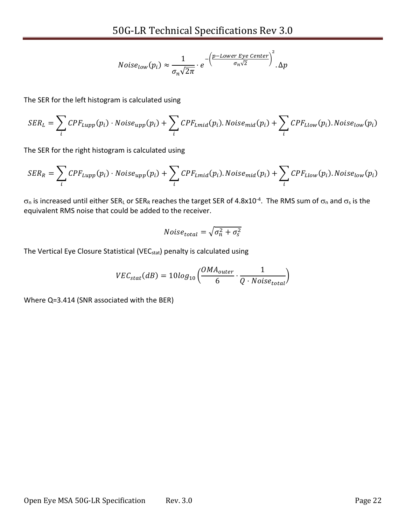$$
Noise_{low}(p_i) \approx \frac{1}{\sigma_n \sqrt{2\pi}} \cdot e^{-\left(\frac{p\text{-}Lower Eye Center}{\sigma_n \sqrt{2}}\right)^2}.\Delta p
$$

The SER for the left histogram is calculated using

$$
SER_L = \sum_i CPF_{Lupp}(p_i) \cdot Noise_{upp}(p_i) + \sum_i CPF_{Lmid}(p_i).Noise_{mid}(p_i) + \sum_i CPF_{Llow}(p_i).Noise_{low}(p_i)
$$

The SER for the right histogram is calculated using

$$
SER_R = \sum_i CPF_{Lupp}(p_i) \cdot Noise_{upp}(p_i) + \sum_i CPF_{Lmid}(p_i).Noise_{mid}(p_i) + \sum_i CPF_{Llow}(p_i).Noise_{low}(p_i)
$$

 $\sigma_0$  is increased until either SERL or SERR reaches the target SER of 4.8x10<sup>-4</sup>. The RMS sum of  $\sigma_0$  and  $\sigma_5$  is the equivalent RMS noise that could be added to the receiver.

$$
Noise_{total} = \sqrt{\sigma_n^2 + \sigma_s^2}
$$

The Vertical Eye Closure Statistical (VEC<sub>stat</sub>) penalty is calculated using

$$
VEC_{stat}(dB) = 10log_{10}\left(\frac{OMA_{outer}}{6} \cdot \frac{1}{Q \cdot Noise_{total}}\right)
$$

Where Q=3.414 (SNR associated with the BER)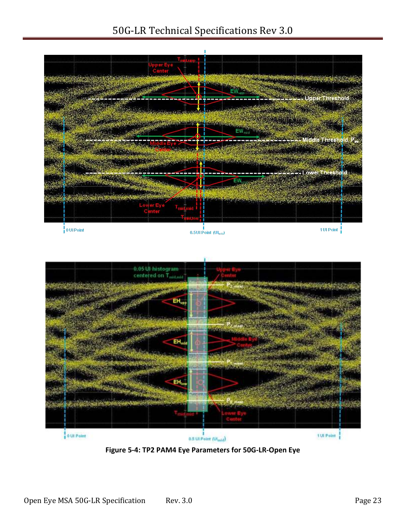# 50G-LR Technical Specifications Rev 3.0





<span id="page-22-0"></span>**Figure 5-4: TP2 PAM4 Eye Parameters for 50G-LR-Open Eye**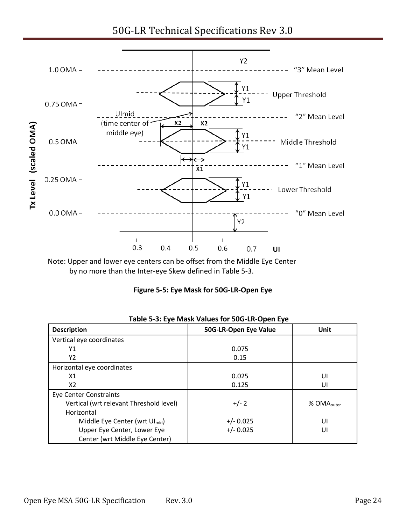50G-LR Technical Specifications Rev 3.0



<span id="page-23-1"></span>Note: Upper and lower eye centers can be offset from the Middle Eye Center by no more than the Inter-eye Skew defined in [Table 5-3.](#page-23-0)

| Figure 5-5: Eye Mask for 50G-LR-Open Eye |  |  |  |
|------------------------------------------|--|--|--|
|------------------------------------------|--|--|--|

<span id="page-23-0"></span>

| $-0.00$ $-0.000$ $-0.000$ $-0.000$         |                       |                        |  |
|--------------------------------------------|-----------------------|------------------------|--|
| <b>Description</b>                         | 50G-LR-Open Eye Value | Unit                   |  |
| Vertical eye coordinates                   |                       |                        |  |
| Υ1                                         | 0.075                 |                        |  |
| Υ2                                         | 0.15                  |                        |  |
| Horizontal eye coordinates                 |                       |                        |  |
| X1                                         | 0.025                 | UI                     |  |
| X2                                         | 0.125                 | UI                     |  |
| <b>Eye Center Constraints</b>              |                       |                        |  |
| Vertical (wrt relevant Threshold level)    | $+/- 2$               | % OMA <sub>outer</sub> |  |
| Horizontal                                 |                       |                        |  |
| Middle Eye Center (wrt Ul <sub>mid</sub> ) | $+/- 0.025$           | UI                     |  |
| Upper Eye Center, Lower Eye                | $+/- 0.025$           | UI                     |  |
| Center (wrt Middle Eye Center)             |                       |                        |  |

| Table 5-3: Eye Mask Values for 50G-LR-Open Eye |  |  |  |
|------------------------------------------------|--|--|--|
|------------------------------------------------|--|--|--|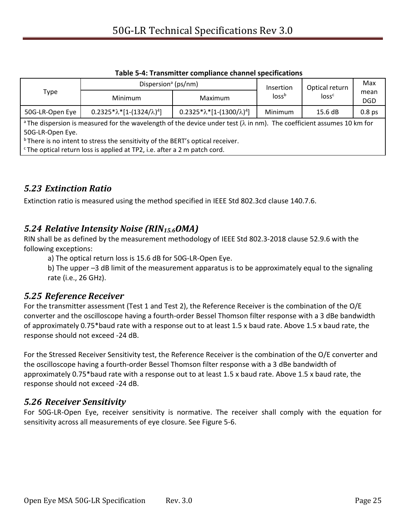<span id="page-24-4"></span>

|                                                                                                                                                                                   | Dispersion <sup>a</sup> (ps/nm)           |                                           | Insertion                              | Optical return | Max                |
|-----------------------------------------------------------------------------------------------------------------------------------------------------------------------------------|-------------------------------------------|-------------------------------------------|----------------------------------------|----------------|--------------------|
| Type                                                                                                                                                                              | Minimum                                   | Maximum                                   | loss <sup>b</sup><br>loss <sup>c</sup> |                | mean<br><b>DGD</b> |
| 50G-LR-Open Eye                                                                                                                                                                   | $0.2325 * \lambda * [1-(1324/\lambda)^4]$ | $0.2325 * \lambda * [1-(1300/\lambda)^4]$ | Minimum                                | 15.6dB         | 0.8 <sub>ps</sub>  |
| <sup>a</sup> The dispersion is measured for the wavelength of the device under test ( $\lambda$ in nm). The coefficient assumes 10 km for<br>50G-LR-Open Eye.                     |                                           |                                           |                                        |                |                    |
| <sup>b</sup> There is no intent to stress the sensitivity of the BERT's optical receiver.<br><sup>c</sup> The optical return loss is applied at TP2, i.e. after a 2 m patch cord. |                                           |                                           |                                        |                |                    |

**Table 5-4: Transmitter compliance channel specifications**

### <span id="page-24-5"></span><span id="page-24-0"></span>*5.23 Extinction Ratio*

Extinction ratio is measured using the method specified in IEEE Std 802.3cd clause 140.7.6.

### <span id="page-24-6"></span><span id="page-24-1"></span>*5.24 Relative Intensity Noise (RIN15.6OMA)*

RIN shall be as defined by the measurement methodology of IEEE Std 802.3-2018 clause 52.9.6 with the following exceptions:

a) The optical return loss is 15.6 dB for 50G-LR-Open Eye.

<span id="page-24-2"></span>b) The upper –3 dB limit of the measurement apparatus is to be approximately equal to the signaling rate (i.e., 26 GHz).

#### *5.25 Reference Receiver*

For the transmitter assessment (Test 1 and Test 2), the Reference Receiver is the combination of the O/E converter and the oscilloscope having a fourth-order Bessel Thomson filter response with a 3 dBe bandwidth of approximately 0.75\*baud rate with a response out to at least 1.5 x baud rate. Above 1.5 x baud rate, the response should not exceed -24 dB.

For the Stressed Receiver Sensitivity test, the Reference Receiver is the combination of the O/E converter and the oscilloscope having a fourth-order Bessel Thomson filter response with a 3 dBe bandwidth of approximately 0.75\*baud rate with a response out to at least 1.5 x baud rate. Above 1.5 x baud rate, the response should not exceed -24 dB.

### <span id="page-24-3"></span>*5.26 Receiver Sensitivity*

For 50G-LR-Open Eye, receiver sensitivity is normative. The receiver shall comply with the equation for sensitivity across all measurements of eye closure. Se[e Figure 5-6.](#page-25-2)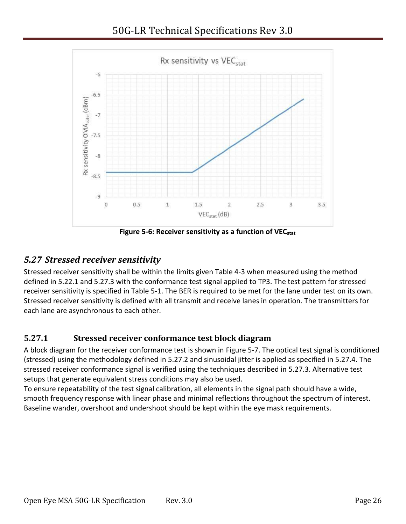

**Figure 5-6: Receiver sensitivity as a function of VECstat**

## <span id="page-25-3"></span><span id="page-25-2"></span><span id="page-25-0"></span>*5.27 Stressed receiver sensitivity*

Stressed receiver sensitivity shall be within the limits given [Table 4-3](#page-11-1) when measured using the method defined in [5.22.1](#page-18-0) and [5.27.3](#page-27-0) with the conformance test signal applied to TP3. The test pattern for stressed receiver sensitivity is specified in [Table 5-1.](#page-13-4) The BER is required to be met for the lane under test on its own. Stressed receiver sensitivity is defined with all transmit and receive lanes in operation. The transmitters for each lane are asynchronous to each other.

## <span id="page-25-1"></span>**5.27.1 Stressed receiver conformance test block diagram**

A block diagram for the receiver conformance test is shown in [Figure 5-7.](#page-26-1) The optical test signal is conditioned (stressed) using the methodology defined in [5.27.2](#page-26-0) and sinusoidal jitter is applied as specified in [5.27.4.](#page-28-0) The stressed receiver conformance signal is verified using the techniques described in [5.27.3.](#page-27-0) Alternative test setups that generate equivalent stress conditions may also be used.

To ensure repeatability of the test signal calibration, all elements in the signal path should have a wide, smooth frequency response with linear phase and minimal reflections throughout the spectrum of interest. Baseline wander, overshoot and undershoot should be kept within the eye mask requirements.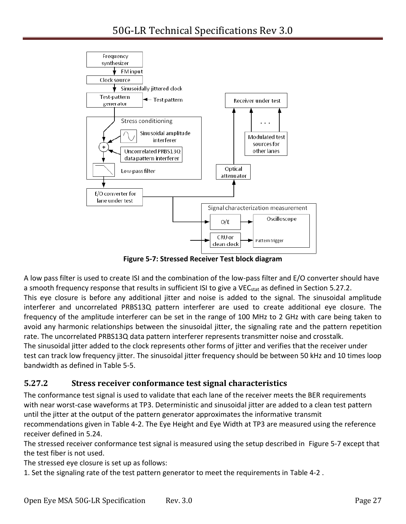

**Figure 5-7: Stressed Receiver Test block diagram**

<span id="page-26-1"></span>A low pass filter is used to create ISI and the combination of the low-pass filter and E/O converter should have a smooth frequency response that results in sufficient ISI to give a VEC<sub>stat</sub> as defined in Section [5.27.2.](#page-26-0) This eye closure is before any additional jitter and noise is added to the signal. The sinusoidal amplitude interferer and uncorrelated PRBS13Q pattern interferer are used to create additional eye closure. The frequency of the amplitude interferer can be set in the range of 100 MHz to 2 GHz with care being taken to avoid any harmonic relationships between the sinusoidal jitter, the signaling rate and the pattern repetition rate. The uncorrelated PRBS13Q data pattern interferer represents transmitter noise and crosstalk. The sinusoidal jitter added to the clock represents other forms of jitter and verifies that the receiver under test can track low frequency jitter. The sinusoidal jitter frequency should be between 50 kHz and 10 times loop bandwidth as defined in [Table 5-5.](#page-28-1)

#### <span id="page-26-0"></span>**5.27.2 Stress receiver conformance test signal characteristics**

The conformance test signal is used to validate that each lane of the receiver meets the BER requirements with near worst-case waveforms at TP3. Deterministic and sinusoidal jitter are added to a clean test pattern until the jitter at the output of the pattern generator approximates the informative transmit recommendations given in [Table 4-2.](#page-10-1) The Eye Height and Eye Width at TP3 are measured using the reference receiver defined in [5.24.](#page-24-6)

The stressed receiver conformance test signal is measured using the setup described in [Figure 5-7](#page-26-1) except that the test fiber is not used.

The stressed eye closure is set up as follows:

1. Set the signaling rate of the test pattern generator to meet the requirements in [Table 4-2](#page-10-1) .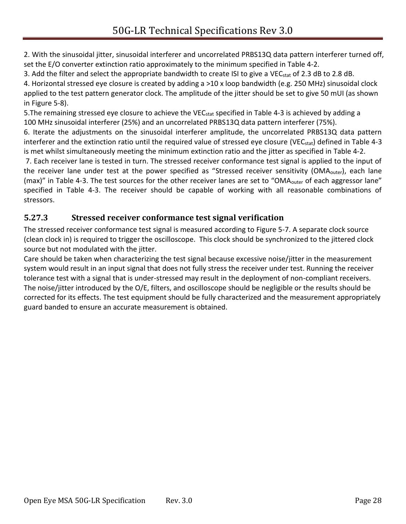2. With the sinusoidal jitter, sinusoidal interferer and uncorrelated PRBS13Q data pattern interferer turned off, set the E/O converter extinction ratio approximately to the minimum specified in [Table 4-2.](#page-10-1)

3. Add the filter and select the appropriate bandwidth to create ISI to give a VEC<sub>stat</sub> of 2.3 dB to 2.8 dB.

4. Horizontal stressed eye closure is created by adding a >10 x loop bandwidth (e.g. 250 MHz) sinusoidal clock applied to the test pattern generator clock. The amplitude of the jitter should be set to give 50 mUI (as shown in [Figure 5-8\)](#page-28-2).

5. The remaining stressed eye closure to achieve the VEC<sub>stat</sub> specified in [Table 4-3](#page-11-1) is achieved by adding a 100 MHz sinusoidal interferer (25%) and an uncorrelated PRBS13Q data pattern interferer (75%).

6. Iterate the adjustments on the sinusoidal interferer amplitude, the uncorrelated PRBS13Q data pattern interferer and the extinction ratio until the required value of stressed eye closure (VEC<sub>stat</sub>) defined in [Table 4-3](#page-11-1) is met whilst simultaneously meeting the minimum extinction ratio and the jitter as specified in [Table 4-2.](#page-10-1)

7. Each receiver lane is tested in turn. The stressed receiver conformance test signal is applied to the input of the receiver lane under test at the power specified as "Stressed receiver sensitivity (OMA<sub>outer</sub>), each lane (max)" in [Table 4-3](#page-11-1). The test sources for the other receiver lanes are set to "OMA<sub>outer</sub> of each aggressor lane" specified in [Table 4-3.](#page-11-1) The receiver should be capable of working with all reasonable combinations of stressors.

### <span id="page-27-0"></span>**5.27.3 Stressed receiver conformance test signal verification**

The stressed receiver conformance test signal is measured according to [Figure 5-7.](#page-26-1) A separate clock source (clean clock in) is required to trigger the oscilloscope. This clock should be synchronized to the jittered clock source but not modulated with the jitter.

Care should be taken when characterizing the test signal because excessive noise/jitter in the measurement system would result in an input signal that does not fully stress the receiver under test. Running the receiver tolerance test with a signal that is under-stressed may result in the deployment of non-compliant receivers. The noise/jitter introduced by the O/E, filters, and oscilloscope should be negligible or the results should be corrected for its effects. The test equipment should be fully characterized and the measurement appropriately guard banded to ensure an accurate measurement is obtained.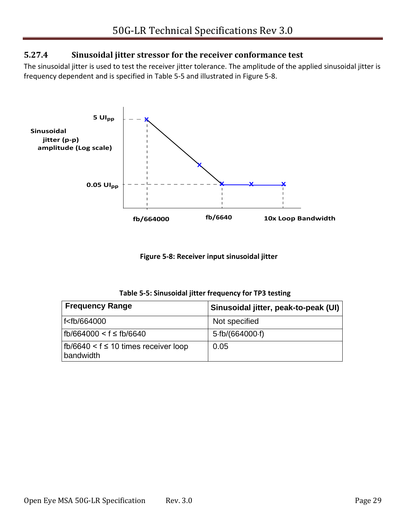#### <span id="page-28-0"></span>**5.27.4 Sinusoidal jitter stressor for the receiver conformance test**

The sinusoidal jitter is used to test the receiver jitter tolerance. The amplitude of the applied sinusoidal jitter is frequency dependent and is specified in [Table 5-5](#page-28-1) and illustrated in [Figure 5-8.](#page-28-2)



**Figure 5-8: Receiver input sinusoidal jitter**

| Table 5-5: Sinusoidal jitter frequency for TP3 testing |  |  |  |  |
|--------------------------------------------------------|--|--|--|--|
|--------------------------------------------------------|--|--|--|--|

<span id="page-28-2"></span><span id="page-28-1"></span>

| <b>Frequency Range</b>                                         | Sinusoidal jitter, peak-to-peak (UI) |  |
|----------------------------------------------------------------|--------------------------------------|--|
| f <fb 664000<="" td=""><td>Not specified</td></fb>             | Not specified                        |  |
| fb/664000 < f ≤ fb/6640                                        | 5·fb/(664000·f)                      |  |
| $\vert$ fb/6640 < f $\leq$ 10 times receiver loop<br>bandwidth | 0.05                                 |  |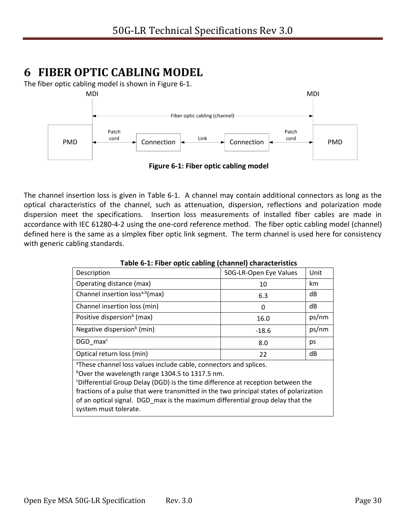# <span id="page-29-0"></span>**6 FIBER OPTIC CABLING MODEL**

The fiber optic cabling model is shown in [Figure 6-1.](#page-29-2)



<span id="page-29-2"></span>The channel insertion loss is given in [Table 6-1.](#page-29-1) A channel may contain additional connectors as long as the optical characteristics of the channel, such as attenuation, dispersion, reflections and polarization mode dispersion meet the specifications. Insertion loss measurements of installed fiber cables are made in accordance with IEC 61280-4-2 using the one-cord reference method. The fiber optic cabling model (channel) defined here is the same as a simplex fiber optic link segment. The term channel is used here for consistency with generic cabling standards.

<span id="page-29-1"></span>

| Table 0-1. Fiber Optic Cability (Channel) Characteristics                                                                                                                                         |                        |       |  |
|---------------------------------------------------------------------------------------------------------------------------------------------------------------------------------------------------|------------------------|-------|--|
| Description                                                                                                                                                                                       | 50G-LR-Open Eye Values | Unit  |  |
| Operating distance (max)                                                                                                                                                                          | 10                     | km    |  |
| Channel insertion loss <sup>a,b</sup> (max)                                                                                                                                                       | 6.3                    | dB    |  |
| Channel insertion loss (min)                                                                                                                                                                      | 0                      | dB    |  |
| Positive dispersion <sup>b</sup> (max)                                                                                                                                                            | 16.0                   | ps/nm |  |
| Negative dispersion <sup>b</sup> (min)                                                                                                                                                            | $-18.6$                | ps/nm |  |
| DGD max <sup>c</sup>                                                                                                                                                                              | 8.0                    | ps    |  |
| Optical return loss (min)                                                                                                                                                                         | 22                     | dB    |  |
| <sup>a</sup> These channel loss values include cable, connectors and splices.<br>bover the wavelength range 1304.5 to 1317.5 nm.                                                                  |                        |       |  |
| <sup>c</sup> Differential Group Delay (DGD) is the time difference at reception between the                                                                                                       |                        |       |  |
| fractions of a pulse that were transmitted in the two principal states of polarization<br>of an optical signal. DGD max is the maximum differential group delay that the<br>system must tolerate. |                        |       |  |

**Table 6-1: Fiber optic cabling (channel) characteristics**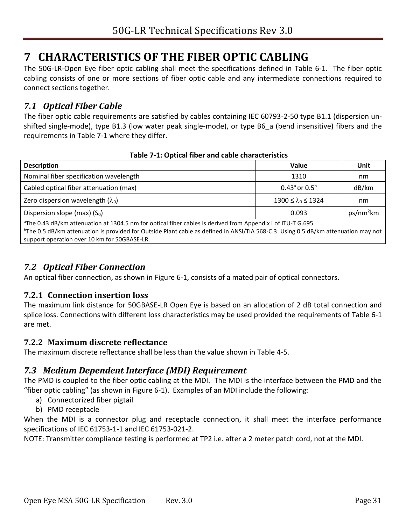# <span id="page-30-0"></span>**7 CHARACTERISTICS OF THE FIBER OPTIC CABLING**

The 50G-LR-Open Eye fiber optic cabling shall meet the specifications defined in [Table 6-1.](#page-29-1) The fiber optic cabling consists of one or more sections of fiber optic cable and any intermediate connections required to connect sections together.

### <span id="page-30-1"></span>*7.1 Optical Fiber Cable*

The fiber optic cable requirements are satisfied by cables containing IEC 60793-2-50 type B1.1 (dispersion unshifted single-mode), type B1.3 (low water peak single-mode), or type B6\_a (bend insensitive) fibers and the requirements in [Table 7-1](#page-30-6) where they differ.

<span id="page-30-6"></span>

| <b>Description</b>                                                                                                                                                                                                                                                                                                | Value                     | Unit                  |  |
|-------------------------------------------------------------------------------------------------------------------------------------------------------------------------------------------------------------------------------------------------------------------------------------------------------------------|---------------------------|-----------------------|--|
| Nominal fiber specification wavelength                                                                                                                                                                                                                                                                            | 1310                      | nm                    |  |
| Cabled optical fiber attenuation (max)                                                                                                                                                                                                                                                                            | 0.43 $^{a}$ or 0.5 $^{b}$ | dB/km                 |  |
| Zero dispersion wavelength $(\lambda_0)$                                                                                                                                                                                                                                                                          | 1300 ≤ $\lambda_0$ ≤ 1324 | nm                    |  |
| Dispersion slope (max) $(S0)$                                                                                                                                                                                                                                                                                     | 0.093                     | ps/nm <sup>2</sup> km |  |
| <sup>a</sup> The 0.43 dB/km attenuation at 1304.5 nm for optical fiber cables is derived from Appendix I of ITU-T G.695.<br>$b$ The 0.5 dB/km attenuation is provided for Outside Plant cable as defined in ANSI/TIA 568-C.3. Using 0.5 dB/km attenuation may not<br>support operation over 10 km for 50GBASE-LR. |                           |                       |  |

#### **Table 7-1: Optical fiber and cable characteristics**

### <span id="page-30-2"></span>*7.2 Optical Fiber Connection*

An optical fiber connection, as shown in [Figure 6-1,](#page-29-2) consists of a mated pair of optical connectors.

#### <span id="page-30-3"></span>**7.2.1 Connection insertion loss**

The maximum link distance for 50GBASE-LR Open Eye is based on an allocation of 2 dB total connection and splice loss. Connections with different loss characteristics may be used provided the requirements of [Table 6-1](#page-29-1) are met.

#### <span id="page-30-4"></span>**7.2.2 Maximum discrete reflectance**

The maximum discrete reflectance shall be less than the value shown in [Table 4-5.](#page-12-2)

### <span id="page-30-5"></span>*7.3 Medium Dependent Interface (MDI) Requirement*

The PMD is coupled to the fiber optic cabling at the MDI. The MDI is the interface between the PMD and the "fiber optic cabling" (as shown in [Figure 6-1\)](#page-29-2). Examples of an MDI include the following:

- a) Connectorized fiber pigtail
- b) PMD receptacle

When the MDI is a connector plug and receptacle connection, it shall meet the interface performance specifications of IEC 61753-1-1 and IEC 61753-021-2.

NOTE: Transmitter compliance testing is performed at TP2 i.e. after a 2 meter patch cord, not at the MDI.